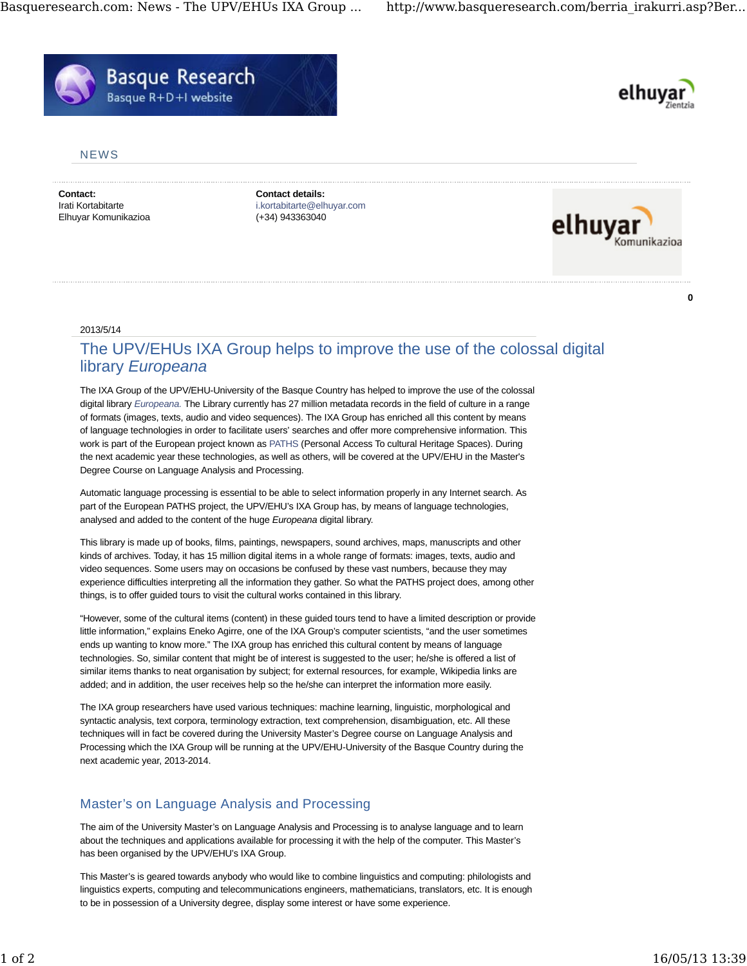



**0**

## **NEWS**

**Contact:** Irati Kortabitarte Elhuyar Komunikazioa **Contact details:** i.kortabitarte@elhuyar.com (+34) 943363040



2013/5/14

## The UPV/EHUs IXA Group helps to improve the use of the colossal digital library *Europeana*

The IXA Group of the UPV/EHU-University of the Basque Country has helped to improve the use of the colossal digital library *Europeana.* The Library currently has 27 million metadata records in the field of culture in a range of formats (images, texts, audio and video sequences). The IXA Group has enriched all this content by means of language technologies in order to facilitate users' searches and offer more comprehensive information. This work is part of the European project known as PATHS (Personal Access To cultural Heritage Spaces). During the next academic year these technologies, as well as others, will be covered at the UPV/EHU in the Master's Degree Course on Language Analysis and Processing.

Automatic language processing is essential to be able to select information properly in any Internet search. As part of the European PATHS project, the UPV/EHU's IXA Group has, by means of language technologies, analysed and added to the content of the huge *Europeana* digital library.

This library is made up of books, films, paintings, newspapers, sound archives, maps, manuscripts and other kinds of archives. Today, it has 15 million digital items in a whole range of formats: images, texts, audio and video sequences. Some users may on occasions be confused by these vast numbers, because they may experience difficulties interpreting all the information they gather. So what the PATHS project does, among other things, is to offer guided tours to visit the cultural works contained in this library.

"However, some of the cultural items (content) in these guided tours tend to have a limited description or provide little information," explains Eneko Agirre, one of the IXA Group's computer scientists, "and the user sometimes ends up wanting to know more." The IXA group has enriched this cultural content by means of language technologies. So, similar content that might be of interest is suggested to the user; he/she is offered a list of similar items thanks to neat organisation by subject; for external resources, for example, Wikipedia links are added; and in addition, the user receives help so the he/she can interpret the information more easily.

The IXA group researchers have used various techniques: machine learning, linguistic, morphological and syntactic analysis, text corpora, terminology extraction, text comprehension, disambiguation, etc. All these techniques will in fact be covered during the University Master's Degree course on Language Analysis and Processing which the IXA Group will be running at the UPV/EHU-University of the Basque Country during the next academic year, 2013-2014.

## Master's on Language Analysis and Processing

The aim of the University Master's on Language Analysis and Processing is to analyse language and to learn about the techniques and applications available for processing it with the help of the computer. This Master's has been organised by the UPV/EHU's IXA Group.

This Master's is geared towards anybody who would like to combine linguistics and computing: philologists and linguistics experts, computing and telecommunications engineers, mathematicians, translators, etc. It is enough to be in possession of a University degree, display some interest or have some experience.